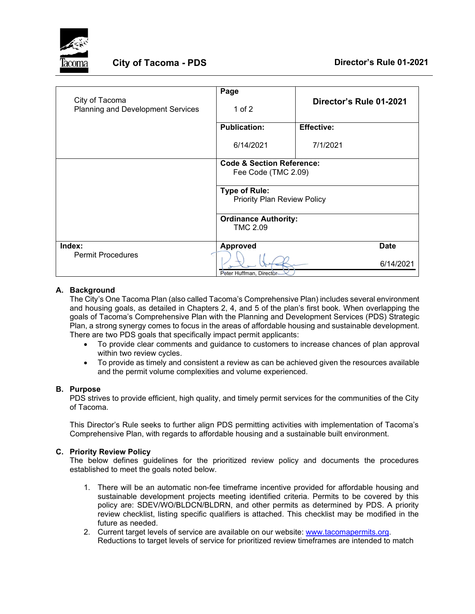

| City of Tacoma<br>Planning and Development Services | Page<br>1 of $2$                                            | Director's Rule 01-2021 |
|-----------------------------------------------------|-------------------------------------------------------------|-------------------------|
|                                                     | <b>Publication:</b>                                         | <b>Effective:</b>       |
|                                                     | 6/14/2021                                                   | 7/1/2021                |
|                                                     | <b>Code &amp; Section Reference:</b><br>Fee Code (TMC 2.09) |                         |
|                                                     | <b>Type of Rule:</b><br><b>Priority Plan Review Policy</b>  |                         |
|                                                     | <b>Ordinance Authority:</b>                                 |                         |
|                                                     | <b>TMC 2.09</b>                                             |                         |
| Index:                                              | <b>Approved</b>                                             | <b>Date</b>             |
| <b>Permit Procedures</b>                            | Peter Huffman, Director                                     | 6/14/2021               |

### **A. Background**

The City's One Tacoma Plan (also called Tacoma's Comprehensive Plan) includes several environment and housing goals, as detailed in Chapters 2, 4, and 5 of the plan's first book. When overlapping the goals of Tacoma's Comprehensive Plan with the Planning and Development Services (PDS) Strategic Plan, a strong synergy comes to focus in the areas of affordable housing and sustainable development. There are two PDS goals that specifically impact permit applicants:

- To provide clear comments and guidance to customers to increase chances of plan approval within two review cycles.
- To provide as timely and consistent a review as can be achieved given the resources available and the permit volume complexities and volume experienced.

### **B. Purpose**

PDS strives to provide efficient, high quality, and timely permit services for the communities of the City of Tacoma.

This Director's Rule seeks to further align PDS permitting activities with implementation of Tacoma's Comprehensive Plan, with regards to affordable housing and a sustainable built environment.

### **C. Priority Review Policy**

The below defines guidelines for the prioritized review policy and documents the procedures established to meet the goals noted below.

- 1. There will be an automatic non-fee timeframe incentive provided for affordable housing and sustainable development projects meeting identified criteria. Permits to be covered by this policy are: SDEV/WO/BLDCN/BLDRN, and other permits as determined by PDS. A priority review checklist, listing specific qualifiers is attached. This checklist may be modified in the future as needed.
- 2. Current target levels of service are available on our website: [www.tacomapermits.org.](http://www.tacomapermits.org/) Reductions to target levels of service for prioritized review timeframes are intended to match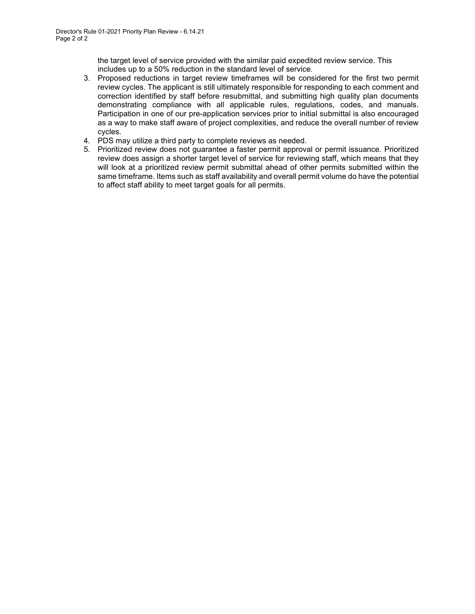the target level of service provided with the similar paid expedited review service. This includes up to a 50% reduction in the standard level of service.

- 3. Proposed reductions in target review timeframes will be considered for the first two permit review cycles. The applicant is still ultimately responsible for responding to each comment and correction identified by staff before resubmittal, and submitting high quality plan documents demonstrating compliance with all applicable rules, regulations, codes, and manuals. Participation in one of our pre-application services prior to initial submittal is also encouraged as a way to make staff aware of project complexities, and reduce the overall number of review cycles.
- 4. PDS may utilize a third party to complete reviews as needed.
- 5. Prioritized review does not guarantee a faster permit approval or permit issuance. Prioritized review does assign a shorter target level of service for reviewing staff, which means that they will look at a prioritized review permit submittal ahead of other permits submitted within the same timeframe. Items such as staff availability and overall permit volume do have the potential to affect staff ability to meet target goals for all permits.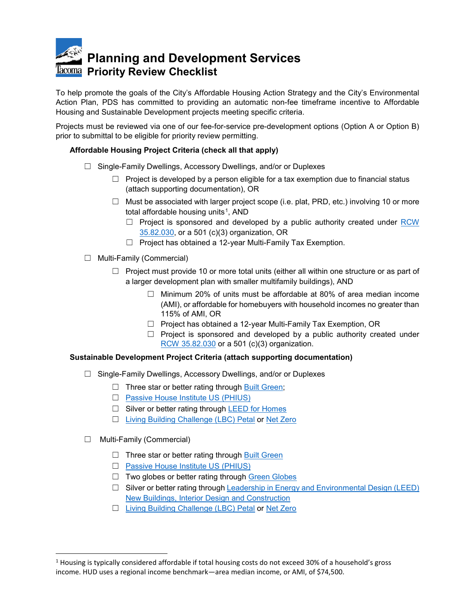# **Planning and Development Services Priority Review Checklist**

To help promote the goals of the City's Affordable Housing Action Strategy and the City's Environmental Action Plan, PDS has committed to providing an automatic non-fee timeframe incentive to Affordable Housing and Sustainable Development projects meeting specific criteria.

Projects must be reviewed via one of our fee-for-service pre-development options (Option A or Option B) prior to submittal to be eligible for priority review permitting.

## **Affordable Housing Project Criteria (check all that apply)**

- ☐ Single-Family Dwellings, Accessory Dwellings, and/or or Duplexes
	- $\Box$  Project is developed by a person eligible for a tax exemption due to financial status (attach supporting documentation), OR
	- $\Box$  Must be associated with larger project scope (i.e. plat, PRD, etc.) involving 10 or more total affordable housing units<sup>[1](#page-2-0)</sup>, AND
		- $\Box$  Project is sponsored and developed by a public authority created under RCW [35.82.030,](https://app.leg.wa.gov/rcw/default.aspx?cite=35.82.030#:%7E:text=The%20governing%20body%20shall%20adopt,of%20safe%20or%20sanitary%20dwelling) or a 501 (c)(3) organization, OR
		- ☐ Project has obtained a 12-year Multi-Family Tax Exemption.
- ☐ Multi-Family (Commercial)
	- $\Box$  Project must provide 10 or more total units (either all within one structure or as part of a larger development plan with smaller multifamily buildings), AND
		- $\Box$  Minimum 20% of units must be affordable at 80% of area median income (AMI), or affordable for homebuyers with household incomes no greater than 115% of AMI, OR
		- ☐ Project has obtained a 12-year Multi-Family Tax Exemption, OR
		- $\Box$  Project is sponsored and developed by a public authority created under [RCW 35.82.030](https://app.leg.wa.gov/rcw/default.aspx?cite=35.82.030#:%7E:text=The%20governing%20body%20shall%20adopt,of%20safe%20or%20sanitary%20dwelling) or a 501 (c)(3) organization.

## **Sustainable Development Project Criteria (attach supporting documentation)**

- ☐ Single-Family Dwellings, Accessory Dwellings, and/or or Duplexes
	- $\Box$  Three star or better rating through [Built Green;](https://www.builtgreen.net/)
	- ☐ [Passive House Institute US \(PHIUS\)](https://www.phius.org/home-page)
	- □ Silver or better rating through [LEED for Homes](https://www.usgbc.org/resources/leed-homes)
	- ☐ [Living Building Challenge \(LBC\) Petal](https://living-future.org/lbc/) or [Net Zero](https://living-future.org/zero-energy/)
- ☐ Multi-Family (Commercial)
	- $\Box$  Three star or better rating through [Built Green](https://www.builtgreen.net/)
	- ☐ [Passive House Institute US \(PHIUS\)](https://www.phius.org/home-page)
	- □ Two globes or better rating through [Green Globes](http://www.greenglobes.com/home.asp)
	- $\Box$  Silver or better rating through Leadership in Energy and Environmental Design (LEED) [New Buildings, Interior Design and Construction](https://www.usgbc.org/leed/rating-systems/new-interiors)
	- ☐ [Living Building Challenge \(LBC\) Petal](https://living-future.org/lbc/) or [Net Zero](https://living-future.org/zero-energy/)

<span id="page-2-0"></span> $1$  Housing is typically considered affordable if total housing costs do not exceed 30% of a household's gross income. HUD uses a regional income benchmark—area median income, or AMI, of \$74,500.